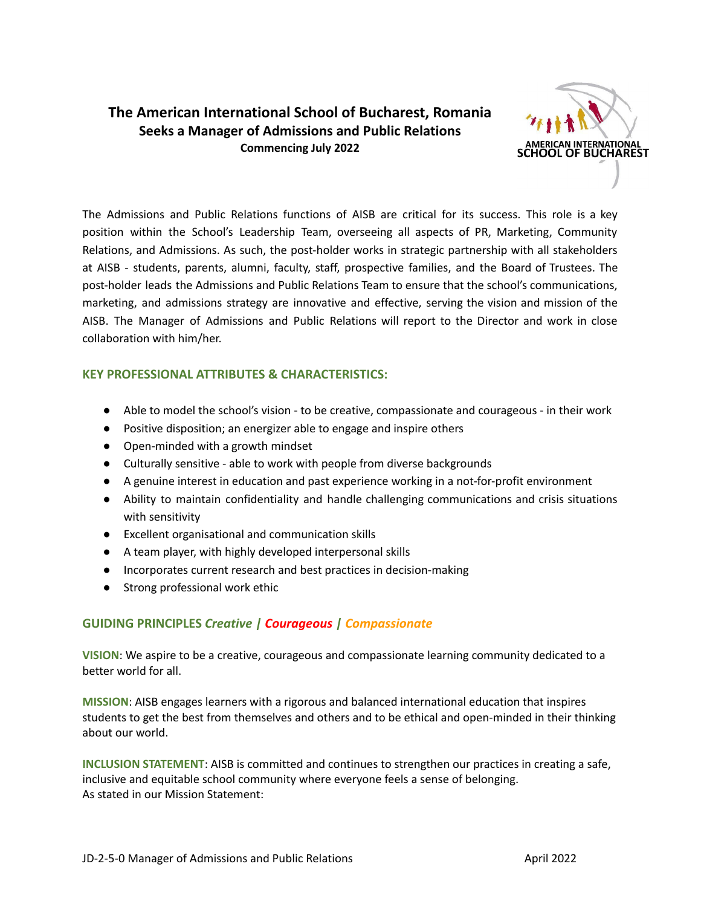# **The American International School of Bucharest, Romania Seeks a Manager of Admissions and Public Relations Commencing July 2022**



The Admissions and Public Relations functions of AISB are critical for its success. This role is a key position within the School's Leadership Team, overseeing all aspects of PR, Marketing, Community Relations, and Admissions. As such, the post-holder works in strategic partnership with all stakeholders at AISB - students, parents, alumni, faculty, staff, prospective families, and the Board of Trustees. The post-holder leads the Admissions and Public Relations Team to ensure that the school's communications, marketing, and admissions strategy are innovative and effective, serving the vision and mission of the AISB. The Manager of Admissions and Public Relations will report to the Director and work in close collaboration with him/her.

## **KEY PROFESSIONAL ATTRIBUTES & CHARACTERISTICS:**

- Able to model the school's vision to be creative, compassionate and courageous in their work
- Positive disposition; an energizer able to engage and inspire others
- Open-minded with a growth mindset
- Culturally sensitive able to work with people from diverse backgrounds
- A genuine interest in education and past experience working in a not-for-profit environment
- Ability to maintain confidentiality and handle challenging communications and crisis situations with sensitivity
- Excellent organisational and communication skills
- A team player, with highly developed interpersonal skills
- Incorporates current research and best practices in decision-making
- Strong professional work ethic

### **GUIDING PRINCIPLES** *Creative | Courageous | Compassionate*

**VISION**: We aspire to be a creative, courageous and compassionate learning community dedicated to a better world for all.

**MISSION**: AISB engages learners with a rigorous and balanced international education that inspires students to get the best from themselves and others and to be ethical and open-minded in their thinking about our world.

**INCLUSION STATEMENT**: AISB is committed and continues to strengthen our practices in creating a safe, inclusive and equitable school community where everyone feels a sense of belonging. As stated in our Mission Statement: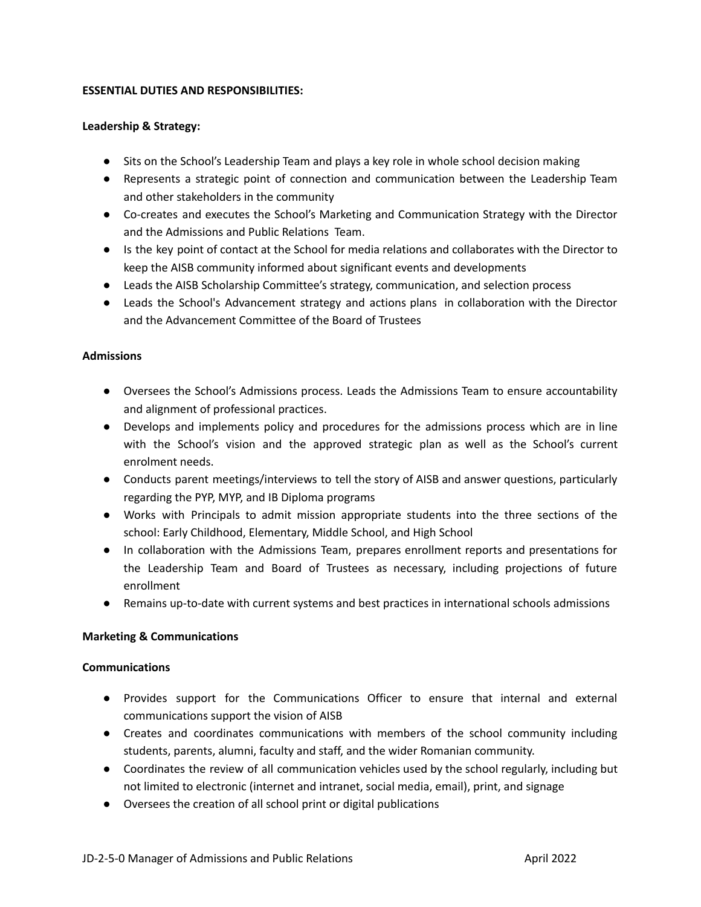#### **ESSENTIAL DUTIES AND RESPONSIBILITIES:**

#### **Leadership & Strategy:**

- Sits on the School's Leadership Team and plays a key role in whole school decision making
- Represents a strategic point of connection and communication between the Leadership Team and other stakeholders in the community
- Co-creates and executes the School's Marketing and Communication Strategy with the Director and the Admissions and Public Relations Team.
- Is the key point of contact at the School for media relations and collaborates with the Director to keep the AISB community informed about significant events and developments
- Leads the AISB Scholarship Committee's strategy, communication, and selection process
- Leads the School's Advancement strategy and actions plans in collaboration with the Director and the Advancement Committee of the Board of Trustees

#### **Admissions**

- Oversees the School's Admissions process. Leads the Admissions Team to ensure accountability and alignment of professional practices.
- Develops and implements policy and procedures for the admissions process which are in line with the School's vision and the approved strategic plan as well as the School's current enrolment needs.
- Conducts parent meetings/interviews to tell the story of AISB and answer questions, particularly regarding the PYP, MYP, and IB Diploma programs
- Works with Principals to admit mission appropriate students into the three sections of the school: Early Childhood, Elementary, Middle School, and High School
- In collaboration with the Admissions Team, prepares enrollment reports and presentations for the Leadership Team and Board of Trustees as necessary, including projections of future enrollment
- Remains up-to-date with current systems and best practices in international schools admissions

#### **Marketing & Communications**

#### **Communications**

- Provides support for the Communications Officer to ensure that internal and external communications support the vision of AISB
- Creates and coordinates communications with members of the school community including students, parents, alumni, faculty and staff, and the wider Romanian community.
- Coordinates the review of all communication vehicles used by the school regularly, including but not limited to electronic (internet and intranet, social media, email), print, and signage
- Oversees the creation of all school print or digital publications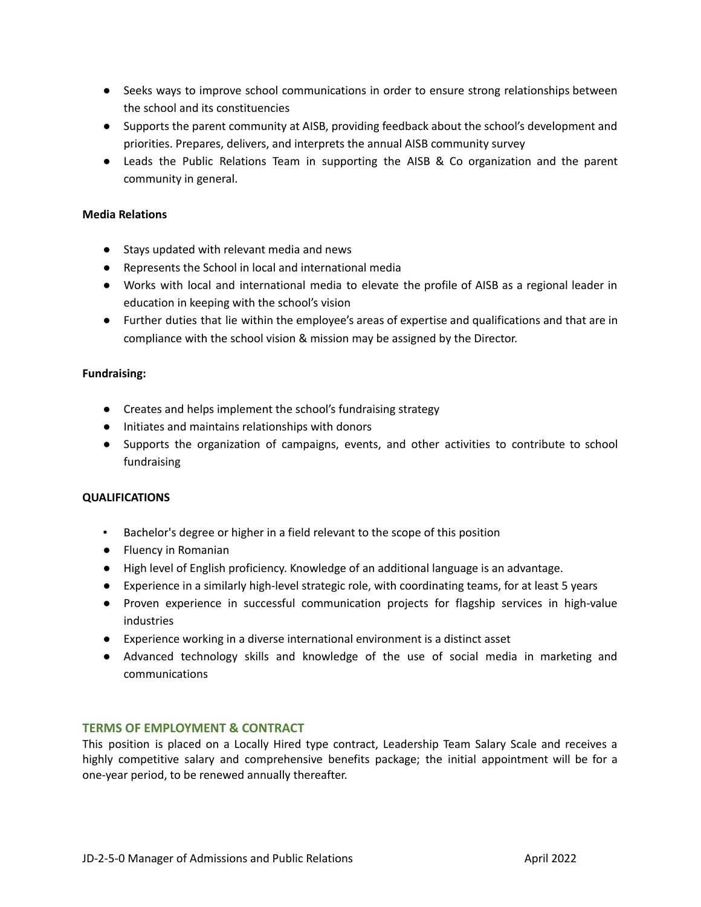- Seeks ways to improve school communications in order to ensure strong relationships between the school and its constituencies
- Supports the parent community at AISB, providing feedback about the school's development and priorities. Prepares, delivers, and interprets the annual AISB community survey
- Leads the Public Relations Team in supporting the AISB & Co organization and the parent community in general.

### **Media Relations**

- Stays updated with relevant media and news
- Represents the School in local and international media
- Works with local and international media to elevate the profile of AISB as a regional leader in education in keeping with the school's vision
- Further duties that lie within the employee's areas of expertise and qualifications and that are in compliance with the school vision & mission may be assigned by the Director.

#### **Fundraising:**

- Creates and helps implement the school's fundraising strategy
- Initiates and maintains relationships with donors
- Supports the organization of campaigns, events, and other activities to contribute to school fundraising

#### **QUALIFICATIONS**

- Bachelor's degree or higher in a field relevant to the scope of this position
- Fluency in Romanian
- High level of English proficiency. Knowledge of an additional language is an advantage.
- Experience in a similarly high-level strategic role, with coordinating teams, for at least 5 years
- Proven experience in successful communication projects for flagship services in high-value industries
- Experience working in a diverse international environment is a distinct asset
- Advanced technology skills and knowledge of the use of social media in marketing and communications

#### **TERMS OF EMPLOYMENT & CONTRACT**

This position is placed on a Locally Hired type contract, Leadership Team Salary Scale and receives a highly competitive salary and comprehensive benefits package; the initial appointment will be for a one-year period, to be renewed annually thereafter.